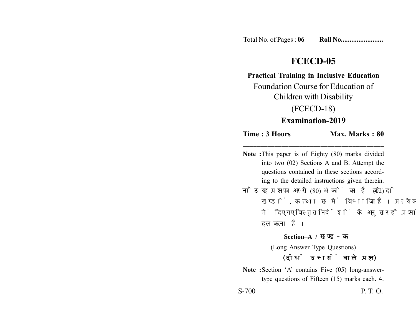Total No. of Pages : **06 Roll No........................**

# **FCECD-05**

**Practical Training in Inclusive Education**

Foundation Course for Education of Children with Disability

## (FCECD-18)

### **Examination-2019**

**Time : 3 Hours Max. Marks : 80 \_\_\_\_\_\_\_\_\_\_\_\_\_\_\_\_\_\_\_\_\_\_\_\_\_\_\_\_\_\_\_\_\_\_\_\_\_\_\_\_**

**Note :**This paper is of Eighty (80) marks divided into two (02) Sections A and B. Attempt the questions contained in these sections according to the detailed instructions given therein. **नोट:** यह प्रश्नपत्र अस्सी (80) अंकों का है जो दो (02) खण्डों, क तथा ख में विभाजित है। प्रत्येक खण्ड में दिए गए विस्तृत निर्देशों के अनुसार ही प्रश्नों को हल करना है।

**Section–A /** 

(Long Answer Type Questions)

### (दीर्घ उत्तरों वाले प्रश्न)

Note :Section 'A' contains Five (05) long-answertype questions of Fifteen (15) marks each. 4.

S-700 P. T. O.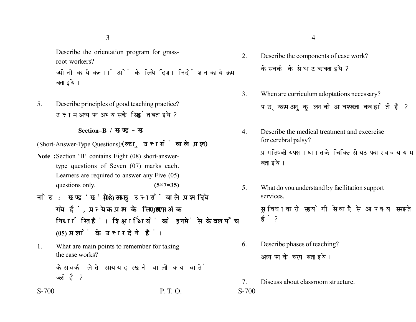3

Describe the orientation program for grassroot workers?

जमीनी कार्यकर्त्ताओं के लिये दिशा निर्देशन कार्यक्रम बताइये।

5. Describe principles of good teaching practice? उत्तम अध्यापन अभ्यास के सिद्धांत बताइये ?

#### **Section–B /**

(Short-Answer-Type Questions)/(लघु उत्तरों वाले प्रश्न)

- **Note :**Section 'B' contains Eight (08) short-answertype questions of Seven (07) marks each. Learners are required to answer any Five (05) questions only. **(5×7=35)**
- नोट: खण्ड'ख' में आठ (08) लघु उत्तरों वाले प्रश्न दिये गये हैं, प्रत्येक प्रश्न के लिए सात (07) अंक निर्धारित हैं। शिक्षार्थियों को इनमें से केवल पाँच **(05) प्रश्नों के उत्तर देने हैं।**
- 1. What are main points to remember for taking the case works?

केस वर्क लेते समय याद रखने वाली क्या बातें जरूरी है?

S-700 P. T. O. S-700

- 2. Describe the components of case work? केस वर्क के संघटक बताइये ?
- 3. When are curriculum adoptations necessary? पाठ्यक्रम अनुकुलन की आवश्यकता कब होती है?
- 4. Describe the medical treatment and excercise for cerebral palsy? प्रगतिष्कीय पक्षाघात के चिकित्सीय उपचार व व्यायाम बताइये।
- 5. What do you understand by facilitation support services. सुविधाकारी सहयोगी सेवाएँ से आप क्या समझते हैं?
- 6. Describe phases of teaching? अध्यापन के चरण बताइये।
- 7. Discuss about classroom structure.